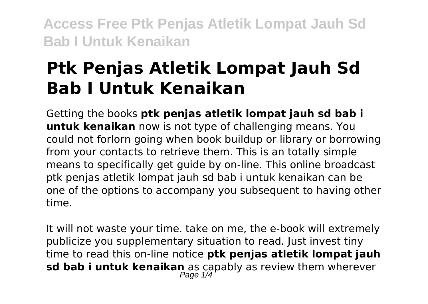## **Ptk Penjas Atletik Lompat Jauh Sd Bab I Untuk Kenaikan**

Getting the books **ptk penjas atletik lompat jauh sd bab i untuk kenaikan** now is not type of challenging means. You could not forlorn going when book buildup or library or borrowing from your contacts to retrieve them. This is an totally simple means to specifically get guide by on-line. This online broadcast ptk penjas atletik lompat jauh sd bab i untuk kenaikan can be one of the options to accompany you subsequent to having other time.

It will not waste your time. take on me, the e-book will extremely publicize you supplementary situation to read. Just invest tiny time to read this on-line notice **ptk penjas atletik lompat jauh sd bab i untuk kenaikan** as capably as review them wherever Page 1/4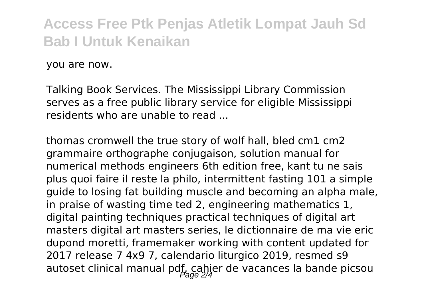you are now.

Talking Book Services. The Mississippi Library Commission serves as a free public library service for eligible Mississippi residents who are unable to read

thomas cromwell the true story of wolf hall, bled cm1 cm2 grammaire orthographe conjugaison, solution manual for numerical methods engineers 6th edition free, kant tu ne sais plus quoi faire il reste la philo, intermittent fasting 101 a simple guide to losing fat building muscle and becoming an alpha male, in praise of wasting time ted 2, engineering mathematics 1, digital painting techniques practical techniques of digital art masters digital art masters series, le dictionnaire de ma vie eric dupond moretti, framemaker working with content updated for 2017 release 7 4x9 7, calendario liturgico 2019, resmed s9 autoset clinical manual pdf, cahier de vacances la bande picsou